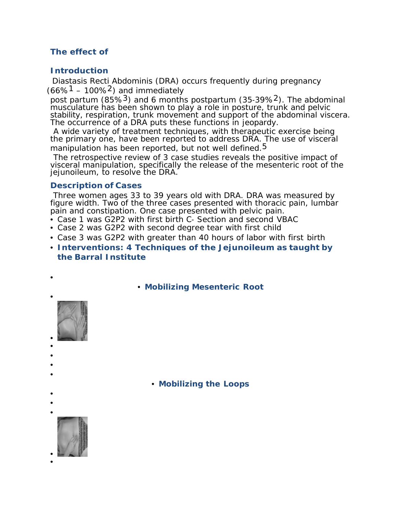# **The effect of**

## **Introduction**

 Diastasis Recti Abdominis (DRA) occurs frequently during pregnancy (66%<sup>1</sup> – 100%<sup>2</sup>) and immediately

post partum (85%<sup>3</sup>) and 6 months postpartum (35-39%<sup>2</sup>). The abdominal musculature has been shown to play a role in posture, trunk and pelvic stability, respiration, trunk movement and support of the abdominal viscera. The occurrence of a DRA puts these functions in jeopardy.

A wide variety of treatment techniques, with therapeutic exercise being the primary one, have been reported to address DRA. The use of visceral manipulation has been reported, but not well defined.<sup>5</sup>

The retrospective review of 3 case studies reveals the positive impact of visceral manipulation, specifically the release of the mesenteric root of the jejunoileum, to resolve the DRA.

## **Description of Cases**

Three women ages 33 to 39 years old with DRA. DRA was measured by figure width. Two of the three cases presented with thoracic pain, lumbar pain and constipation. One case presented with pelvic pain.

- Case 1 was G2P2 with first birth C‐ Section and second VBAC
- Case 2 was G2P2 with second degree tear with first child
- Case 3 was G2P2 with greater than 40 hours of labor with first birth
- **Interventions: 4 Techniques of the Jejunoileum as taught by the Barral Institute**
	- **Mobilizing Mesenteric Root**

• **Mobilizing the Loops**

- •
- •

•

•

• • • • •

• •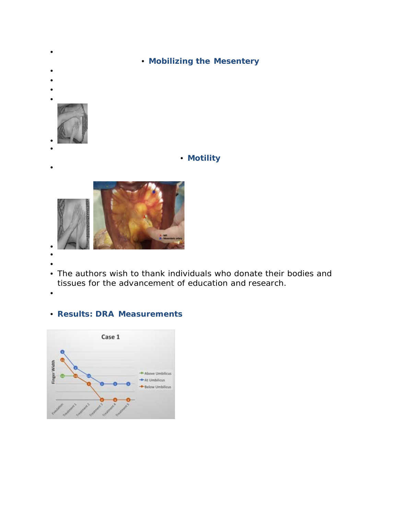

• • The authors wish to thank individuals who donate their bodies and tissues for the advancement of education and research.

•

# • **Results: DRA Measurements**

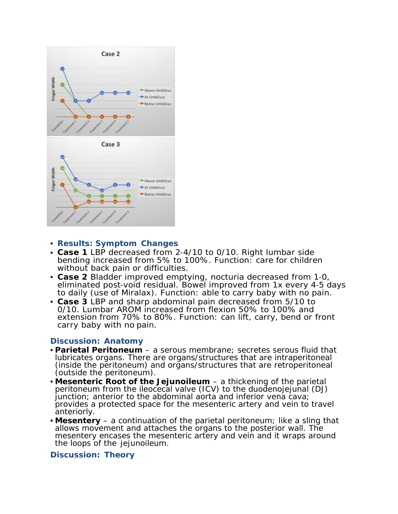

### • **Results: Symptom Changes**

- **Case 1** LBP decreased from 2‐4/10 to 0/10. Right lumbar side bending increased from 5% to 100%. Function: care for children without back pain or difficulties.
- **Case 2** Bladder improved emptying, nocturia decreased from 1‐0, eliminated post‐void residual. Bowel improved from 1x every 4‐5 days to daily (use of Miralax). Function: able to carry baby with no pain.
- **Case 3** LBP and sharp abdominal pain decreased from 5/10 to 0/10. Lumbar AROM increased from flexion 50% to 100% and extension from 70% to 80%. Function: can lift, carry, bend or front carry baby with no pain.

## **Discussion: Anatomy**

- **Parietal Peritoneum**  a serous membrane; secretes serous fluid that lubricates organs. There are organs/structures that are intraperitoneal (inside the peritoneum) and organs/structures that are retroperitoneal (outside the peritoneum).
- **Mesenteric Root of the Jejunoileum**  a thickening of the parietal peritoneum from the ileocecal valve (ICV) to the duodenojejunal (DJ) junction; anterior to the abdominal aorta and inferior vena cava; provides a protected space for the mesenteric artery and vein to travel anteriorly.
- **Mesentery**  a continuation of the parietal peritoneum; like a sling that allows movement and attaches the organs to the posterior wall. The mesentery encases the mesenteric artery and vein and it wraps around the loops of the jejunoileum.

### **Discussion: Theory**